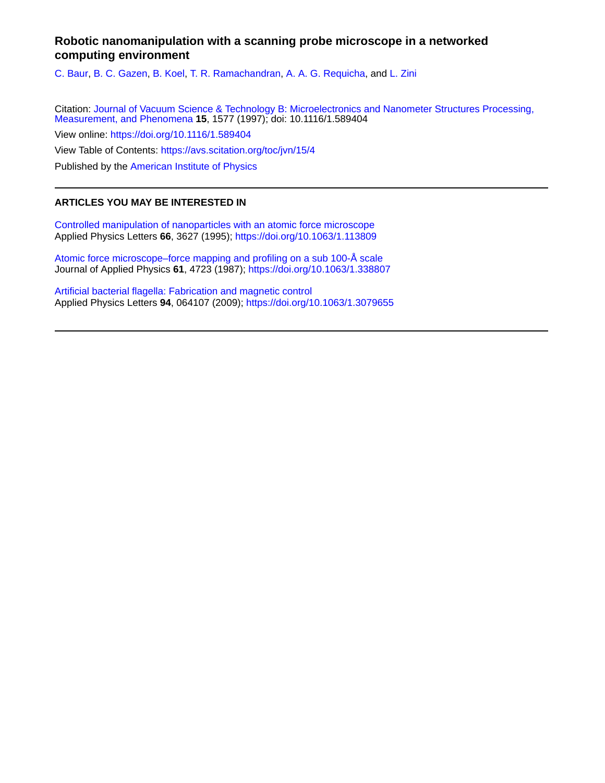## **Robotic nanomanipulation with a scanning probe microscope in a networked computing environment**

[C. Baur](https://avs.scitation.org/author/Baur%2C+C), [B. C. Gazen](https://avs.scitation.org/author/Gazen%2C+B+C), [B. Koel,](https://avs.scitation.org/author/Koel%2C+B) [T. R. Ramachandran](https://avs.scitation.org/author/Ramachandran%2C+T+R), [A. A. G. Requicha,](https://avs.scitation.org/author/Requicha%2C+A+A+G) and [L. Zini](https://avs.scitation.org/author/Zini%2C+L)

Citation: [Journal of Vacuum Science & Technology B: Microelectronics and Nanometer Structures Processing,](/loi/jvn) [Measurement, and Phenomena](/loi/jvn) **15**, 1577 (1997); doi: 10.1116/1.589404 View online: <https://doi.org/10.1116/1.589404> View Table of Contents: <https://avs.scitation.org/toc/jvn/15/4> Published by the [American Institute of Physics](https://avs.scitation.org/publisher/)

## **ARTICLES YOU MAY BE INTERESTED IN**

[Controlled manipulation of nanoparticles with an atomic force microscope](https://avs.scitation.org/doi/10.1063/1.113809) Applied Physics Letters **66**, 3627 (1995);<https://doi.org/10.1063/1.113809>

[Atomic force microscope–force mapping and profiling on a sub 100-Å scale](https://avs.scitation.org/doi/10.1063/1.338807) Journal of Applied Physics **61**, 4723 (1987);<https://doi.org/10.1063/1.338807>

[Artificial bacterial flagella: Fabrication and magnetic control](https://avs.scitation.org/doi/10.1063/1.3079655) Applied Physics Letters **94**, 064107 (2009);<https://doi.org/10.1063/1.3079655>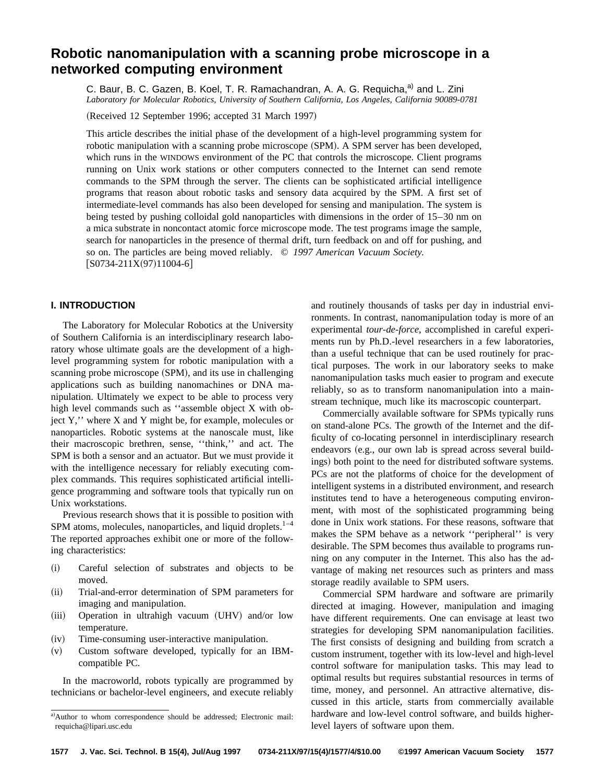# **Robotic nanomanipulation with a scanning probe microscope in a networked computing environment**

C. Baur, B. C. Gazen, B. Koel, T. R. Ramachandran, A. A. G. Requicha, <sup>a)</sup> and L. Zini *Laboratory for Molecular Robotics, University of Southern California, Los Angeles, California 90089-0781*

(Received 12 September 1996; accepted 31 March 1997)

This article describes the initial phase of the development of a high-level programming system for robotic manipulation with a scanning probe microscope (SPM). A SPM server has been developed, which runs in the WINDOWS environment of the PC that controls the microscope. Client programs running on Unix work stations or other computers connected to the Internet can send remote commands to the SPM through the server. The clients can be sophisticated artificial intelligence programs that reason about robotic tasks and sensory data acquired by the SPM. A first set of intermediate-level commands has also been developed for sensing and manipulation. The system is being tested by pushing colloidal gold nanoparticles with dimensions in the order of 15–30 nm on a mica substrate in noncontact atomic force microscope mode. The test programs image the sample, search for nanoparticles in the presence of thermal drift, turn feedback on and off for pushing, and so on. The particles are being moved reliably. © *1997 American Vacuum Society.*  $[SO734-211X(97)11004-6]$ 

#### **I. INTRODUCTION**

The Laboratory for Molecular Robotics at the University of Southern California is an interdisciplinary research laboratory whose ultimate goals are the development of a highlevel programming system for robotic manipulation with a scanning probe microscope (SPM), and its use in challenging applications such as building nanomachines or DNA manipulation. Ultimately we expect to be able to process very high level commands such as ''assemble object X with object Y,'' where X and Y might be, for example, molecules or nanoparticles. Robotic systems at the nanoscale must, like their macroscopic brethren, sense, ''think,'' and act. The SPM is both a sensor and an actuator. But we must provide it with the intelligence necessary for reliably executing complex commands. This requires sophisticated artificial intelligence programming and software tools that typically run on Unix workstations.

Previous research shows that it is possible to position with SPM atoms, molecules, nanoparticles, and liquid droplets. $1-4$ The reported approaches exhibit one or more of the following characteristics:

- ~i! Careful selection of substrates and objects to be moved.
- (ii) Trial-and-error determination of SPM parameters for imaging and manipulation.
- $(iii)$  Operation in ultrahigh vacuum  $(UHV)$  and/or low temperature.
- (iv) Time-consuming user-interactive manipulation.
- $(v)$  Custom software developed, typically for an IBMcompatible PC.

In the macroworld, robots typically are programmed by technicians or bachelor-level engineers, and execute reliably and routinely thousands of tasks per day in industrial environments. In contrast, nanomanipulation today is more of an experimental *tour-de-force*, accomplished in careful experiments run by Ph.D.-level researchers in a few laboratories, than a useful technique that can be used routinely for practical purposes. The work in our laboratory seeks to make nanomanipulation tasks much easier to program and execute reliably, so as to transform nanomanipulation into a mainstream technique, much like its macroscopic counterpart.

Commercially available software for SPMs typically runs on stand-alone PCs. The growth of the Internet and the difficulty of co-locating personnel in interdisciplinary research endeavors (e.g., our own lab is spread across several buildings) both point to the need for distributed software systems. PCs are not the platforms of choice for the development of intelligent systems in a distributed environment, and research institutes tend to have a heterogeneous computing environment, with most of the sophisticated programming being done in Unix work stations. For these reasons, software that makes the SPM behave as a network ''peripheral'' is very desirable. The SPM becomes thus available to programs running on any computer in the Internet. This also has the advantage of making net resources such as printers and mass storage readily available to SPM users.

Commercial SPM hardware and software are primarily directed at imaging. However, manipulation and imaging have different requirements. One can envisage at least two strategies for developing SPM nanomanipulation facilities. The first consists of designing and building from scratch a custom instrument, together with its low-level and high-level control software for manipulation tasks. This may lead to optimal results but requires substantial resources in terms of time, money, and personnel. An attractive alternative, discussed in this article, starts from commercially available hardware and low-level control software, and builds higherlevel layers of software upon them.

a)Author to whom correspondence should be addressed; Electronic mail: requicha@lipari.usc.edu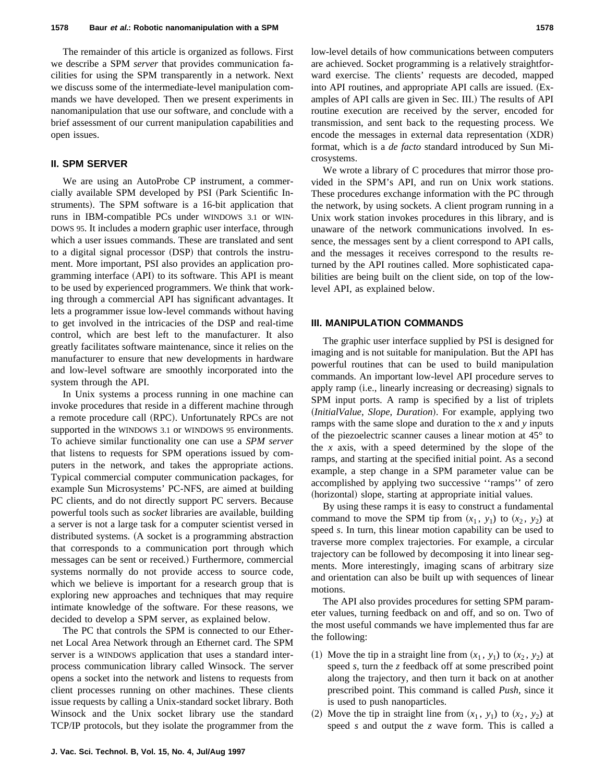The remainder of this article is organized as follows. First we describe a SPM *server* that provides communication facilities for using the SPM transparently in a network. Next we discuss some of the intermediate-level manipulation commands we have developed. Then we present experiments in nanomanipulation that use our software, and conclude with a brief assessment of our current manipulation capabilities and open issues.

### **II. SPM SERVER**

We are using an AutoProbe CP instrument, a commercially available SPM developed by PSI (Park Scientific Instruments). The SPM software is a 16-bit application that runs in IBM-compatible PCs under WINDOWS 3.1 or WIN-DOWS 95. It includes a modern graphic user interface, through which a user issues commands. These are translated and sent to a digital signal processor (DSP) that controls the instrument. More important, PSI also provides an application programming interface (API) to its software. This API is meant to be used by experienced programmers. We think that working through a commercial API has significant advantages. It lets a programmer issue low-level commands without having to get involved in the intricacies of the DSP and real-time control, which are best left to the manufacturer. It also greatly facilitates software maintenance, since it relies on the manufacturer to ensure that new developments in hardware and low-level software are smoothly incorporated into the system through the API.

In Unix systems a process running in one machine can invoke procedures that reside in a different machine through a remote procedure call (RPC). Unfortunately RPCs are not supported in the WINDOWS 3.1 or WINDOWS 95 environments. To achieve similar functionality one can use a *SPM server* that listens to requests for SPM operations issued by computers in the network, and takes the appropriate actions. Typical commercial computer communication packages, for example Sun Microsystems' PC-NFS, are aimed at building PC clients, and do not directly support PC servers. Because powerful tools such as *socket* libraries are available, building a server is not a large task for a computer scientist versed in distributed systems. (A socket is a programming abstraction that corresponds to a communication port through which messages can be sent or received.) Furthermore, commercial systems normally do not provide access to source code, which we believe is important for a research group that is exploring new approaches and techniques that may require intimate knowledge of the software. For these reasons, we decided to develop a SPM server, as explained below.

The PC that controls the SPM is connected to our Ethernet Local Area Network through an Ethernet card. The SPM server is a WINDOWS application that uses a standard interprocess communication library called Winsock. The server opens a socket into the network and listens to requests from client processes running on other machines. These clients issue requests by calling a Unix-standard socket library. Both Winsock and the Unix socket library use the standard TCP/IP protocols, but they isolate the programmer from the low-level details of how communications between computers are achieved. Socket programming is a relatively straightforward exercise. The clients' requests are decoded, mapped into API routines, and appropriate API calls are issued. (Examples of API calls are given in Sec. III.) The results of API routine execution are received by the server, encoded for transmission, and sent back to the requesting process. We encode the messages in external data representation (XDR) format, which is a *de facto* standard introduced by Sun Microsystems.

We wrote a library of C procedures that mirror those provided in the SPM's API, and run on Unix work stations. These procedures exchange information with the PC through the network, by using sockets. A client program running in a Unix work station invokes procedures in this library, and is unaware of the network communications involved. In essence, the messages sent by a client correspond to API calls, and the messages it receives correspond to the results returned by the API routines called. More sophisticated capabilities are being built on the client side, on top of the lowlevel API, as explained below.

#### **III. MANIPULATION COMMANDS**

The graphic user interface supplied by PSI is designed for imaging and is not suitable for manipulation. But the API has powerful routines that can be used to build manipulation commands. An important low-level API procedure serves to apply ramp (i.e., linearly increasing or decreasing) signals to SPM input ports. A ramp is specified by a list of triplets ~*InitialValue*, *Slope*, *Duration*!. For example, applying two ramps with the same slope and duration to the *x* and *y* inputs of the piezoelectric scanner causes a linear motion at 45° to the *x* axis, with a speed determined by the slope of the ramps, and starting at the specified initial point. As a second example, a step change in a SPM parameter value can be accomplished by applying two successive ''ramps'' of zero (horizontal) slope, starting at appropriate initial values.

By using these ramps it is easy to construct a fundamental command to move the SPM tip from  $(x_1, y_1)$  to  $(x_2, y_2)$  at speed *s*. In turn, this linear motion capability can be used to traverse more complex trajectories. For example, a circular trajectory can be followed by decomposing it into linear segments. More interestingly, imaging scans of arbitrary size and orientation can also be built up with sequences of linear motions.

The API also provides procedures for setting SPM parameter values, turning feedback on and off, and so on. Two of the most useful commands we have implemented thus far are the following:

- (1) Move the tip in a straight line from  $(x_1, y_1)$  to  $(x_2, y_2)$  at speed *s*, turn the *z* feedback off at some prescribed point along the trajectory, and then turn it back on at another prescribed point. This command is called *Push*, since it is used to push nanoparticles.
- $(2)$  Move the tip in straight line from  $(x_1, y_1)$  to  $(x_2, y_2)$  at speed *s* and output the *z* wave form. This is called a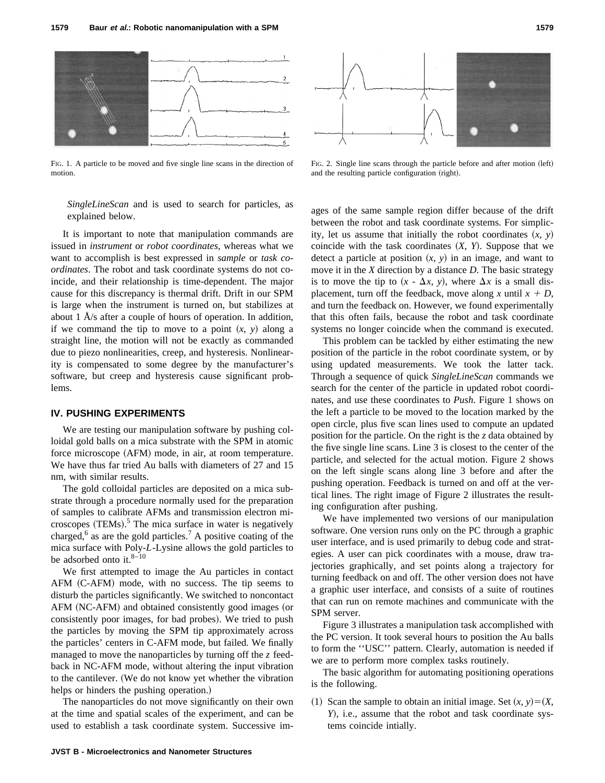

FIG. 1. A particle to be moved and five single line scans in the direction of motion.

*SingleLineScan* and is used to search for particles, as explained below.

It is important to note that manipulation commands are issued in *instrument* or *robot coordinates*, whereas what we want to accomplish is best expressed in *sample* or *task coordinates*. The robot and task coordinate systems do not coincide, and their relationship is time-dependent. The major cause for this discrepancy is thermal drift. Drift in our SPM is large when the instrument is turned on, but stabilizes at about 1 Å/s after a couple of hours of operation. In addition, if we command the tip to move to a point  $(x, y)$  along a straight line, the motion will not be exactly as commanded due to piezo nonlinearities, creep, and hysteresis. Nonlinearity is compensated to some degree by the manufacturer's software, but creep and hysteresis cause significant problems.

## **IV. PUSHING EXPERIMENTS**

We are testing our manipulation software by pushing colloidal gold balls on a mica substrate with the SPM in atomic force microscope (AFM) mode, in air, at room temperature. We have thus far tried Au balls with diameters of 27 and 15 nm, with similar results.

The gold colloidal particles are deposited on a mica substrate through a procedure normally used for the preparation of samples to calibrate AFMs and transmission electron microscopes (TEMs).<sup>5</sup> The mica surface in water is negatively charged, $6$  as are the gold particles.<sup>7</sup> A positive coating of the mica surface with Poly-*L*-Lysine allows the gold particles to be adsorbed onto it. $8-10$ 

We first attempted to image the Au particles in contact AFM (C-AFM) mode, with no success. The tip seems to disturb the particles significantly. We switched to noncontact AFM (NC-AFM) and obtained consistently good images (or consistently poor images, for bad probes). We tried to push the particles by moving the SPM tip approximately across the particles' centers in C-AFM mode, but failed. We finally managed to move the nanoparticles by turning off the *z* feedback in NC-AFM mode, without altering the input vibration to the cantilever. (We do not know yet whether the vibration helps or hinders the pushing operation.)

The nanoparticles do not move significantly on their own at the time and spatial scales of the experiment, and can be used to establish a task coordinate system. Successive im-



FIG. 2. Single line scans through the particle before and after motion (left) and the resulting particle configuration (right).

ages of the same sample region differ because of the drift between the robot and task coordinate systems. For simplicity, let us assume that initially the robot coordinates  $(x, y)$ coincide with the task coordinates  $(X, Y)$ . Suppose that we detect a particle at position  $(x, y)$  in an image, and want to move it in the *X* direction by a distance *D*. The basic strategy is to move the tip to  $(x - \Delta x, y)$ , where  $\Delta x$  is a small displacement, turn off the feedback, move along *x* until  $x + D$ , and turn the feedback on. However, we found experimentally that this often fails, because the robot and task coordinate systems no longer coincide when the command is executed.

This problem can be tackled by either estimating the new position of the particle in the robot coordinate system, or by using updated measurements. We took the latter tack. Through a sequence of quick *SingleLineScan* commands we search for the center of the particle in updated robot coordinates, and use these coordinates to *Push*. Figure 1 shows on the left a particle to be moved to the location marked by the open circle, plus five scan lines used to compute an updated position for the particle. On the right is the *z* data obtained by the five single line scans. Line 3 is closest to the center of the particle, and selected for the actual motion. Figure 2 shows on the left single scans along line 3 before and after the pushing operation. Feedback is turned on and off at the vertical lines. The right image of Figure 2 illustrates the resulting configuration after pushing.

We have implemented two versions of our manipulation software. One version runs only on the PC through a graphic user interface, and is used primarily to debug code and strategies. A user can pick coordinates with a mouse, draw trajectories graphically, and set points along a trajectory for turning feedback on and off. The other version does not have a graphic user interface, and consists of a suite of routines that can run on remote machines and communicate with the SPM server.

Figure 3 illustrates a manipulation task accomplished with the PC version. It took several hours to position the Au balls to form the ''USC'' pattern. Clearly, automation is needed if we are to perform more complex tasks routinely.

The basic algorithm for automating positioning operations is the following.

 $(1)$  Scan the sample to obtain an initial image. Set  $(x, y) = (X, y)$ *Y*!, i.e., assume that the robot and task coordinate systems coincide intially.